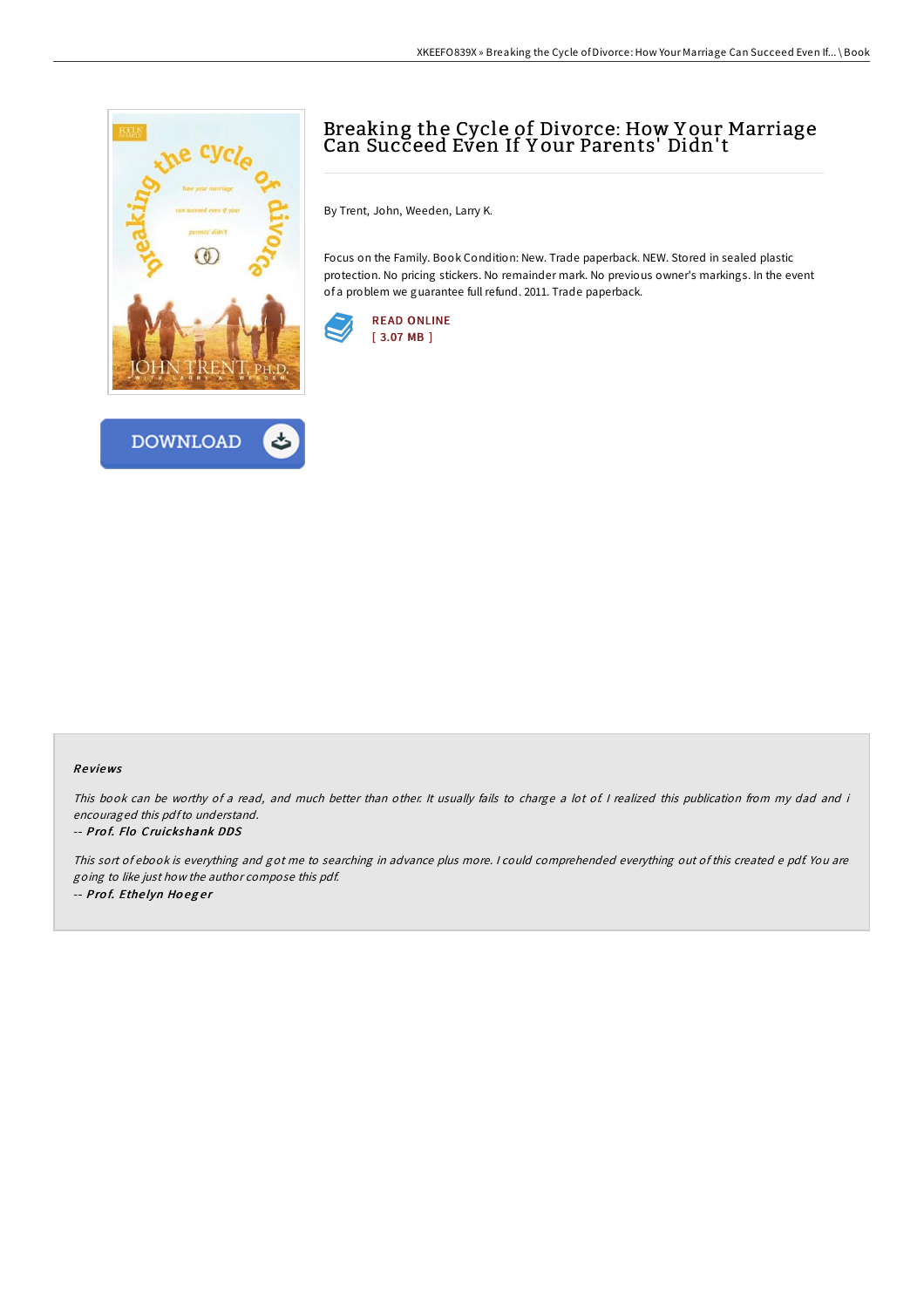



# Breaking the Cycle of Divorce: How Y our Marriage Can Succeed Even If Y our Parents' Didn't

By Trent, John, Weeden, Larry K.

Focus on the Family. Book Condition: New. Trade paperback. NEW. Stored in sealed plastic protection. No pricing stickers. No remainder mark. No previous owner's markings. In the event of a problem we guarantee full refund. 2011. Trade paperback.



### Re views

This book can be worthy of a read, and much better than other. It usually fails to charge a lot of I realized this publication from my dad and i encouraged this pdfto understand.

### -- Prof. Flo Cruickshank DDS

This sort of ebook is everything and got me to searching in advance plus more. <sup>I</sup> could comprehended everything out of this created <sup>e</sup> pdf. You are going to like just how the author compose this pdf. -- Prof. Ethelyn Hoeger